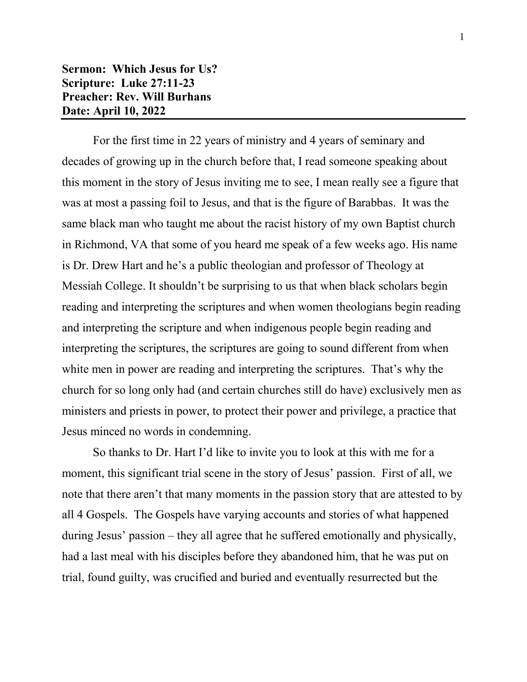## **Sermon: Which Jesus for Us? Scripture: Luke 27:11-23 Preacher: Rev. Will Burhans Date: April 10, 2022**

For the first time in 22 years of ministry and 4 years of seminary and decades of growing up in the church before that, I read someone speaking about this moment in the story of Jesus inviting me to see, I mean really see a figure that was at most a passing foil to Jesus, and that is the figure of Barabbas. It was the same black man who taught me about the racist history of my own Baptist church in Richmond, VA that some of you heard me speak of a few weeks ago. His name is Dr. Drew Hart and he's a public theologian and professor of Theology at Messiah College. It shouldn't be surprising to us that when black scholars begin reading and interpreting the scriptures and when women theologians begin reading and interpreting the scripture and when indigenous people begin reading and interpreting the scriptures, the scriptures are going to sound different from when white men in power are reading and interpreting the scriptures. That's why the church for so long only had (and certain churches still do have) exclusively men as ministers and priests in power, to protect their power and privilege, a practice that Jesus minced no words in condemning.

So thanks to Dr. Hart I'd like to invite you to look at this with me for a moment, this significant trial scene in the story of Jesus' passion. First of all, we note that there aren't that many moments in the passion story that are attested to by all 4 Gospels. The Gospels have varying accounts and stories of what happened during Jesus' passion – they all agree that he suffered emotionally and physically, had a last meal with his disciples before they abandoned him, that he was put on trial, found guilty, was crucified and buried and eventually resurrected but the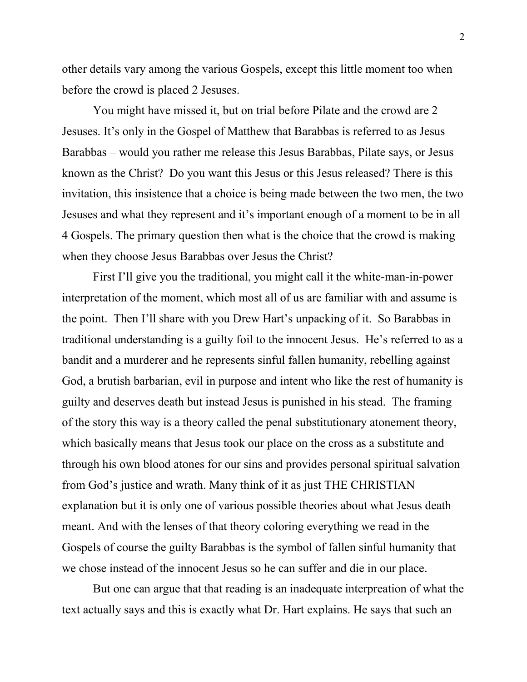other details vary among the various Gospels, except this little moment too when before the crowd is placed 2 Jesuses.

You might have missed it, but on trial before Pilate and the crowd are 2 Jesuses. It's only in the Gospel of Matthew that Barabbas is referred to as Jesus Barabbas – would you rather me release this Jesus Barabbas, Pilate says, or Jesus known as the Christ? Do you want this Jesus or this Jesus released? There is this invitation, this insistence that a choice is being made between the two men, the two Jesuses and what they represent and it's important enough of a moment to be in all 4 Gospels. The primary question then what is the choice that the crowd is making when they choose Jesus Barabbas over Jesus the Christ?

First I'll give you the traditional, you might call it the white-man-in-power interpretation of the moment, which most all of us are familiar with and assume is the point. Then I'll share with you Drew Hart's unpacking of it. So Barabbas in traditional understanding is a guilty foil to the innocent Jesus. He's referred to as a bandit and a murderer and he represents sinful fallen humanity, rebelling against God, a brutish barbarian, evil in purpose and intent who like the rest of humanity is guilty and deserves death but instead Jesus is punished in his stead. The framing of the story this way is a theory called the penal substitutionary atonement theory, which basically means that Jesus took our place on the cross as a substitute and through his own blood atones for our sins and provides personal spiritual salvation from God's justice and wrath. Many think of it as just THE CHRISTIAN explanation but it is only one of various possible theories about what Jesus death meant. And with the lenses of that theory coloring everything we read in the Gospels of course the guilty Barabbas is the symbol of fallen sinful humanity that we chose instead of the innocent Jesus so he can suffer and die in our place.

But one can argue that that reading is an inadequate interpreation of what the text actually says and this is exactly what Dr. Hart explains. He says that such an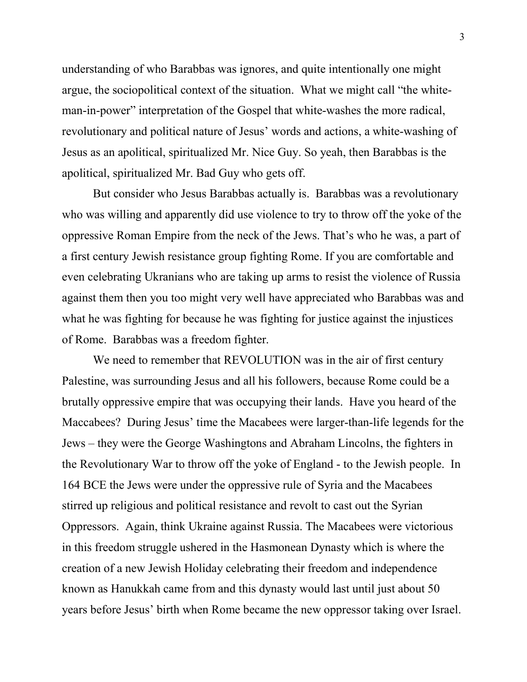understanding of who Barabbas was ignores, and quite intentionally one might argue, the sociopolitical context of the situation. What we might call "the whiteman-in-power" interpretation of the Gospel that white-washes the more radical, revolutionary and political nature of Jesus' words and actions, a white-washing of Jesus as an apolitical, spiritualized Mr. Nice Guy. So yeah, then Barabbas is the apolitical, spiritualized Mr. Bad Guy who gets off.

But consider who Jesus Barabbas actually is. Barabbas was a revolutionary who was willing and apparently did use violence to try to throw off the yoke of the oppressive Roman Empire from the neck of the Jews. That's who he was, a part of a first century Jewish resistance group fighting Rome. If you are comfortable and even celebrating Ukranians who are taking up arms to resist the violence of Russia against them then you too might very well have appreciated who Barabbas was and what he was fighting for because he was fighting for justice against the injustices of Rome. Barabbas was a freedom fighter.

We need to remember that REVOLUTION was in the air of first century Palestine, was surrounding Jesus and all his followers, because Rome could be a brutally oppressive empire that was occupying their lands. Have you heard of the Maccabees? During Jesus' time the Macabees were larger-than-life legends for the Jews – they were the George Washingtons and Abraham Lincolns, the fighters in the Revolutionary War to throw off the yoke of England - to the Jewish people. In 164 BCE the Jews were under the oppressive rule of Syria and the Macabees stirred up religious and political resistance and revolt to cast out the Syrian Oppressors. Again, think Ukraine against Russia. The Macabees were victorious in this freedom struggle ushered in the Hasmonean Dynasty which is where the creation of a new Jewish Holiday celebrating their freedom and independence known as Hanukkah came from and this dynasty would last until just about 50 years before Jesus' birth when Rome became the new oppressor taking over Israel.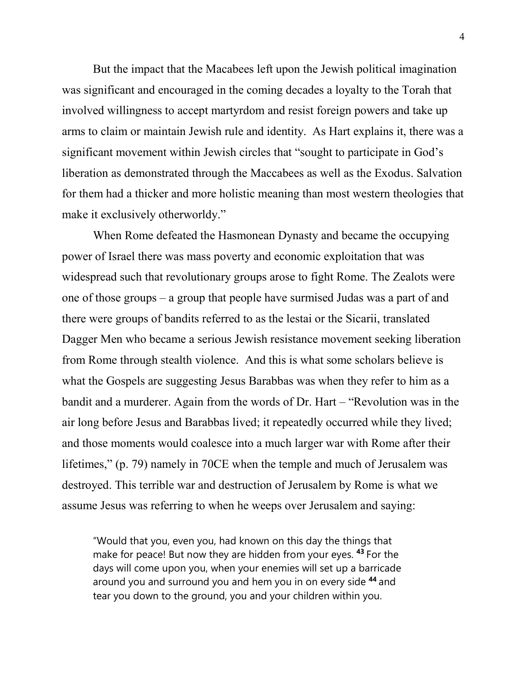But the impact that the Macabees left upon the Jewish political imagination was significant and encouraged in the coming decades a loyalty to the Torah that involved willingness to accept martyrdom and resist foreign powers and take up arms to claim or maintain Jewish rule and identity. As Hart explains it, there was a significant movement within Jewish circles that "sought to participate in God's liberation as demonstrated through the Maccabees as well as the Exodus. Salvation for them had a thicker and more holistic meaning than most western theologies that make it exclusively otherworldy."

When Rome defeated the Hasmonean Dynasty and became the occupying power of Israel there was mass poverty and economic exploitation that was widespread such that revolutionary groups arose to fight Rome. The Zealots were one of those groups – a group that people have surmised Judas was a part of and there were groups of bandits referred to as the lestai or the Sicarii, translated Dagger Men who became a serious Jewish resistance movement seeking liberation from Rome through stealth violence. And this is what some scholars believe is what the Gospels are suggesting Jesus Barabbas was when they refer to him as a bandit and a murderer. Again from the words of Dr. Hart – "Revolution was in the air long before Jesus and Barabbas lived; it repeatedly occurred while they lived; and those moments would coalesce into a much larger war with Rome after their lifetimes," (p. 79) namely in 70CE when the temple and much of Jerusalem was destroyed. This terrible war and destruction of Jerusalem by Rome is what we assume Jesus was referring to when he weeps over Jerusalem and saying:

"Would that you, even you, had known on this day the things that make for peace! But now they are hidden from your eyes. **<sup>43</sup>** For the days will come upon you, when your enemies will set up a barricade around you and surround you and hem you in on every side **<sup>44</sup>** and tear you down to the ground, you and your children within you.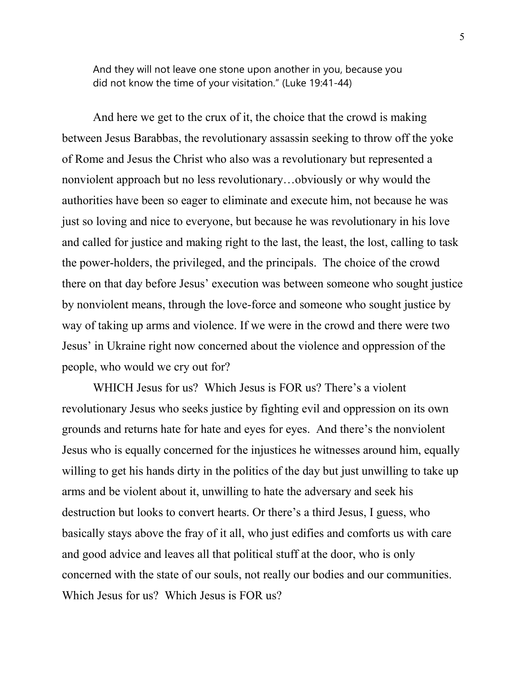And they will not leave one stone upon another in you, because you did not know the time of your visitation." (Luke 19:41-44)

And here we get to the crux of it, the choice that the crowd is making between Jesus Barabbas, the revolutionary assassin seeking to throw off the yoke of Rome and Jesus the Christ who also was a revolutionary but represented a nonviolent approach but no less revolutionary…obviously or why would the authorities have been so eager to eliminate and execute him, not because he was just so loving and nice to everyone, but because he was revolutionary in his love and called for justice and making right to the last, the least, the lost, calling to task the power-holders, the privileged, and the principals. The choice of the crowd there on that day before Jesus' execution was between someone who sought justice by nonviolent means, through the love-force and someone who sought justice by way of taking up arms and violence. If we were in the crowd and there were two Jesus' in Ukraine right now concerned about the violence and oppression of the people, who would we cry out for?

WHICH Jesus for us? Which Jesus is FOR us? There's a violent revolutionary Jesus who seeks justice by fighting evil and oppression on its own grounds and returns hate for hate and eyes for eyes. And there's the nonviolent Jesus who is equally concerned for the injustices he witnesses around him, equally willing to get his hands dirty in the politics of the day but just unwilling to take up arms and be violent about it, unwilling to hate the adversary and seek his destruction but looks to convert hearts. Or there's a third Jesus, I guess, who basically stays above the fray of it all, who just edifies and comforts us with care and good advice and leaves all that political stuff at the door, who is only concerned with the state of our souls, not really our bodies and our communities. Which Jesus for us? Which Jesus is FOR us?